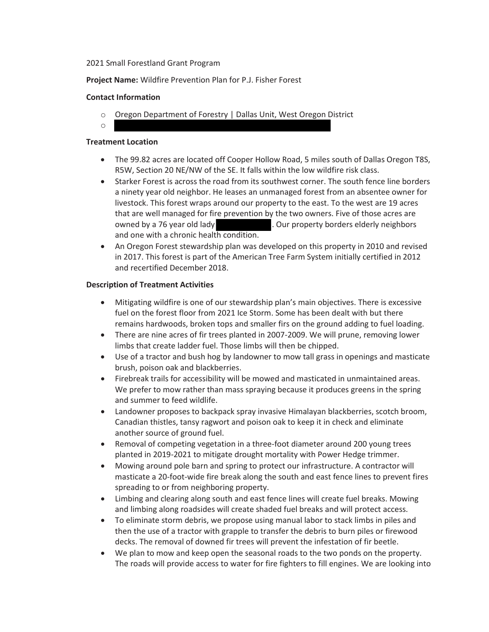#### 2021 Small Forestland Grant Program

**Project Name:** Wildfire Prevention Plan for P.J. Fisher Forest

#### **Contact Information**

- o Oregon Department of Forestry | Dallas Unit, West Oregon District
- o

# **Treatment Location**

- The 99.82 acres are located off Cooper Hollow Road, 5 miles south of Dallas Oregon T8S, R5W, Section 20 NE/NW of the SE. It falls within the low wildfire risk class.
- Starker Forest is across the road from its southwest corner. The south fence line borders a ninety year old neighbor. He leases an unmanaged forest from an absentee owner for livestock. This forest wraps around our property to the east. To the west are 19 acres that are well managed for fire prevention by the two owners. Five of those acres are owned by a 76 year old lady . Our property borders elderly neighbors and one with a chronic health condition.
- An Oregon Forest stewardship plan was developed on this property in 2010 and revised in 2017. This forest is part of the American Tree Farm System initially certified in 2012 and recertified December 2018.

# **Description of Treatment Activities**

- Mitigating wildfire is one of our stewardship plan's main objectives. There is excessive fuel on the forest floor from 2021 Ice Storm. Some has been dealt with but there remains hardwoods, broken tops and smaller firs on the ground adding to fuel loading.
- There are nine acres of fir trees planted in 2007-2009. We will prune, removing lower limbs that create ladder fuel. Those limbs will then be chipped.
- Use of a tractor and bush hog by landowner to mow tall grass in openings and masticate brush, poison oak and blackberries.
- Firebreak trails for accessibility will be mowed and masticated in unmaintained areas. We prefer to mow rather than mass spraying because it produces greens in the spring and summer to feed wildlife.
- Landowner proposes to backpack spray invasive Himalayan blackberries, scotch broom, Canadian thistles, tansy ragwort and poison oak to keep it in check and eliminate another source of ground fuel.
- Removal of competing vegetation in a three-foot diameter around 200 young trees planted in 2019-2021 to mitigate drought mortality with Power Hedge trimmer.
- Mowing around pole barn and spring to protect our infrastructure. A contractor will masticate a 20-foot-wide fire break along the south and east fence lines to prevent fires spreading to or from neighboring property.
- Limbing and clearing along south and east fence lines will create fuel breaks. Mowing and limbing along roadsides will create shaded fuel breaks and will protect access.
- To eliminate storm debris, we propose using manual labor to stack limbs in piles and then the use of a tractor with grapple to transfer the debris to burn piles or firewood decks. The removal of downed fir trees will prevent the infestation of fir beetle.
- We plan to mow and keep open the seasonal roads to the two ponds on the property. The roads will provide access to water for fire fighters to fill engines. We are looking into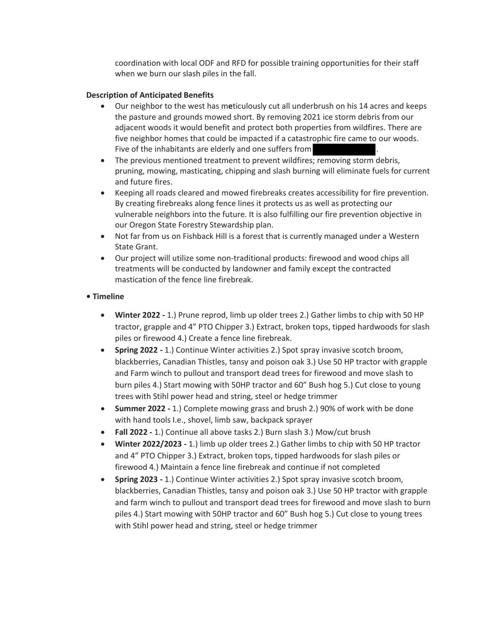coordination with local ODF and RFD for possible training opportunities for their staff when we burn our slash piles in the fall.

#### **Description of Anticipated Benefits**

- x Our neighbor to the west has m**e**ticulously cut all underbrush on his 14 acres and keeps the pasture and grounds mowed short. By removing 2021 ice storm debris from our adjacent woods it would benefit and protect both properties from wildfires. There are five neighbor homes that could be impacted if a catastrophic fire came to our woods. Five of the inhabitants are elderly and one suffers from
- The previous mentioned treatment to prevent wildfires; removing storm debris, pruning, mowing, masticating, chipping and slash burning will eliminate fuels for current and future fires.
- **•** Keeping all roads cleared and mowed firebreaks creates accessibility for fire prevention. By creating firebreaks along fence lines it protects us as well as protecting our vulnerable neighbors into the future. It is also fulfilling our fire prevention objective in our Oregon State Forestry Stewardship plan.
- Not far from us on Fishback Hill is a forest that is currently managed under a Western State Grant.
- Our project will utilize some non-traditional products: firewood and wood chips all treatments will be conducted by landowner and family except the contracted mastication of the fence line firebreak.

# **• Timeline**

- x **Winter 2022 -** 1.) Prune reprod, limb up older trees 2.) Gather limbs to chip with 50 HP tractor, grapple and 4" PTO Chipper 3.) Extract, broken tops, tipped hardwoods for slash piles or firewood 4.) Create a fence line firebreak.
- **•** Spring 2022 1.) Continue Winter activities 2.) Spot spray invasive scotch broom, blackberries, Canadian Thistles, tansy and poison oak 3.) Use 50 HP tractor with grapple and Farm winch to pullout and transport dead trees for firewood and move slash to burn piles 4.) Start mowing with 50HP tractor and 60" Bush hog 5.) Cut close to young trees with Stihl power head and string, steel or hedge trimmer
- **Summer 2022 -** 1.) Complete mowing grass and brush 2.) 90% of work with be done with hand tools I.e., shovel, limb saw, backpack sprayer
- x **Fall 2022 -** 1.) Continue all above tasks 2.) Burn slash 3.) Mow/cut brush
- x **Winter 2022/2023 -** 1.) limb up older trees 2.) Gather limbs to chip with 50 HP tractor and 4" PTO Chipper 3.) Extract, broken tops, tipped hardwoods for slash piles or firewood 4.) Maintain a fence line firebreak and continue if not completed
- **•** Spring 2023 1.) Continue Winter activities 2.) Spot spray invasive scotch broom, blackberries, Canadian Thistles, tansy and poison oak 3.) Use 50 HP tractor with grapple and farm winch to pullout and transport dead trees for firewood and move slash to burn piles 4.) Start mowing with 50HP tractor and 60" Bush hog 5.) Cut close to young trees with Stihl power head and string, steel or hedge trimmer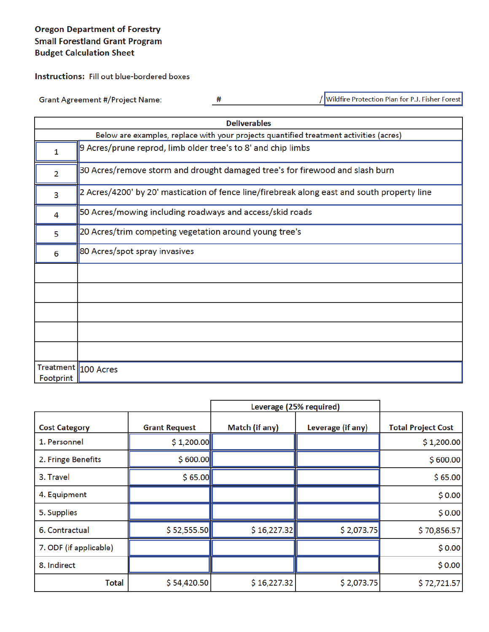# **Oregon Department of Forestry Small Forestland Grant Program Budget Calculation Sheet**

**Instructions:** Fill out blue-bordered boxes

**Grant Agreement #/Project Name:** 

 $#$ 

/ Wildfire Protection Plan for P.J. Fisher Forest

|                | <b>Deliverables</b>                                                                         |  |  |  |  |
|----------------|---------------------------------------------------------------------------------------------|--|--|--|--|
|                | Below are examples, replace with your projects quantified treatment activities (acres)      |  |  |  |  |
| 1              | 9 Acres/prune reprod, limb older tree's to 8' and chip limbs                                |  |  |  |  |
| $\overline{2}$ | 30 Acres/remove storm and drought damaged tree's for firewood and slash burn                |  |  |  |  |
| 3              | 2 Acres/4200' by 20' mastication of fence line/firebreak along east and south property line |  |  |  |  |
| 4              | 50 Acres/mowing including roadways and access/skid roads                                    |  |  |  |  |
| 5              | 20 Acres/trim competing vegetation around young tree's                                      |  |  |  |  |
| 6              | 80 Acres/spot spray invasives                                                               |  |  |  |  |
|                |                                                                                             |  |  |  |  |
|                |                                                                                             |  |  |  |  |
|                |                                                                                             |  |  |  |  |
|                |                                                                                             |  |  |  |  |
|                |                                                                                             |  |  |  |  |
| Footprint      | Treatment   100 Acres                                                                       |  |  |  |  |

| Leverage (25% required) |                      |                |                   |                           |
|-------------------------|----------------------|----------------|-------------------|---------------------------|
| <b>Cost Category</b>    | <b>Grant Request</b> | Match (if any) | Leverage (if any) | <b>Total Project Cost</b> |
| 1. Personnel            | \$1,200.00           |                |                   | \$1,200.00                |
| 2. Fringe Benefits      | \$600.00             |                |                   | \$600.00                  |
| 3. Travel               | \$65.00              |                |                   | \$65.00                   |
| 4. Equipment            |                      |                |                   | \$0.00                    |
| 5. Supplies             |                      |                |                   | \$0.00                    |
| 6. Contractual          | \$52,555.50          | \$16,227.32    | \$2,073.75        | \$70,856.57               |
| 7. ODF (if applicable)  |                      |                |                   | \$0.00                    |
| 8. Indirect             |                      |                |                   | \$0.00                    |
| Total                   | \$54,420.50          | \$16,227.32    | \$2,073.75        | \$72,721.57               |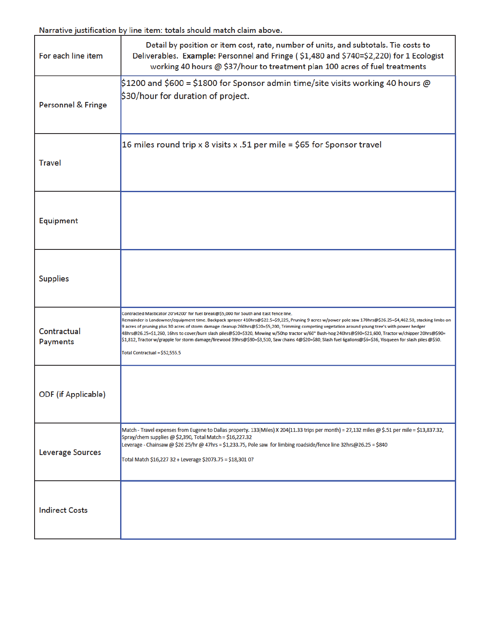Narrative justification by line item: totals should match claim above.

| For each line item             | Detail by position or item cost, rate, number of units, and subtotals. Tie costs to<br>Deliverables. Example: Personnel and Fringe (\$1,480 and \$740=\$2,220) for 1 Ecologist<br>working 40 hours @ \$37/hour to treatment plan 100 acres of fuel treatments                                                                                                                                                                                                                                                                                                                                                                                                                                                                                                               |
|--------------------------------|-----------------------------------------------------------------------------------------------------------------------------------------------------------------------------------------------------------------------------------------------------------------------------------------------------------------------------------------------------------------------------------------------------------------------------------------------------------------------------------------------------------------------------------------------------------------------------------------------------------------------------------------------------------------------------------------------------------------------------------------------------------------------------|
| Personnel & Fringe             | $\$1200$ and $\$600$ = $\$1800$ for Sponsor admin time/site visits working 40 hours @<br>$$30/h$ our for duration of project.                                                                                                                                                                                                                                                                                                                                                                                                                                                                                                                                                                                                                                               |
| <b>Travel</b>                  | 16 miles round trip x 8 visits x .51 per mile = \$65 for Sponsor travel                                                                                                                                                                                                                                                                                                                                                                                                                                                                                                                                                                                                                                                                                                     |
| Equipment                      |                                                                                                                                                                                                                                                                                                                                                                                                                                                                                                                                                                                                                                                                                                                                                                             |
| <b>Supplies</b>                |                                                                                                                                                                                                                                                                                                                                                                                                                                                                                                                                                                                                                                                                                                                                                                             |
| Contractual<br><b>Payments</b> | Contracted Masticator 20'x4200' for fuel break@\$5,000 for South and East fence line.<br>Remainder is Landowner/equipment time. Backpack sprayer 410hrs@\$22.5=\$9,225, Pruning 9 acres w/power pole saw 170hrs@\$26.25=\$4,462.50, stacking limbs on<br>9 acres of pruning plus 30 acres of storm damage cleanup 260hrs@\$20=\$5,200, Trimming competing vegetation around young tree's with power hedger<br>48hrs@26.25=\$1,260, 16hrs to cover/burn slash piles@\$20=\$320, Mowing w/50hp tractor w/60" Bush-hog 240hrs@\$90=\$21,600, Tractor w/chipper 20hrs@\$90=<br>\$1,812, Tractor w/grapple for storm damage/firewood 39hrs@\$90=\$3,510, Saw chains 4@\$20=\$80, Slash fuel 6gallons@\$6=\$36, Visqueen for slash piles @\$50.<br>Total Contractual = \$52,555.5 |
| <b>ODF</b> (if Applicable)     |                                                                                                                                                                                                                                                                                                                                                                                                                                                                                                                                                                                                                                                                                                                                                                             |
| Leverage Sources               | Match - Travel expenses from Eugene to Dallas property. 133(Miles) X 204(11.33 trips per month) = 27,132 miles @ \$.51 per mile = \$13,837.32,<br>Spray/chem supplies @ \$2,390, Total Match = \$16,227.32<br>Leverage - Chainsaw @ \$26 25/hr @ 47hrs = \$1,233.75, Pole saw for limbing roadside/fence line 32hrs@26.25 = \$840<br>Total Match \$16,227 32 + Leverage \$2073.75 = \$18,301 07                                                                                                                                                                                                                                                                                                                                                                             |
| <b>Indirect Costs</b>          |                                                                                                                                                                                                                                                                                                                                                                                                                                                                                                                                                                                                                                                                                                                                                                             |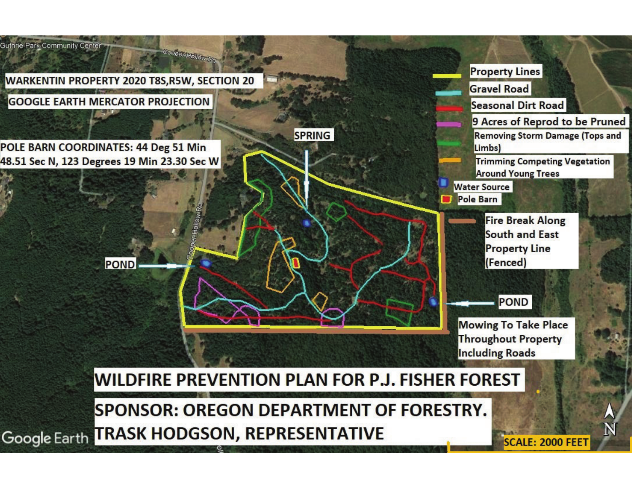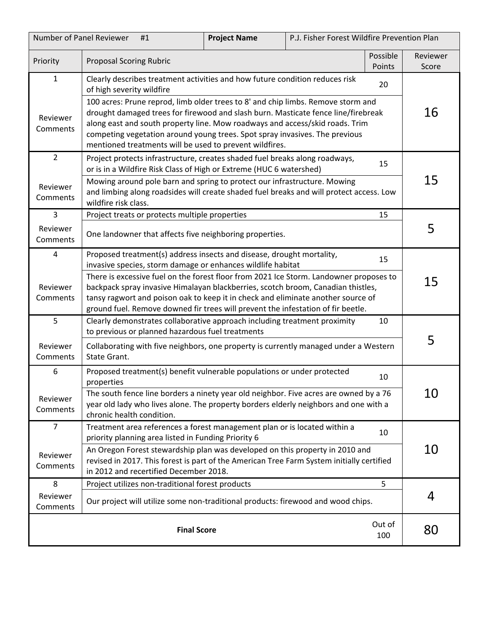| Number of Panel Reviewer<br>P.J. Fisher Forest Wildfire Prevention Plan<br><b>Project Name</b><br>#1 |                                                                                                                                                                                                                                                                                                                                                                                                                                                                                                                    |  |  |                   |    |
|------------------------------------------------------------------------------------------------------|--------------------------------------------------------------------------------------------------------------------------------------------------------------------------------------------------------------------------------------------------------------------------------------------------------------------------------------------------------------------------------------------------------------------------------------------------------------------------------------------------------------------|--|--|-------------------|----|
| Priority                                                                                             | Possible<br><b>Proposal Scoring Rubric</b><br>Points                                                                                                                                                                                                                                                                                                                                                                                                                                                               |  |  | Reviewer<br>Score |    |
| $\mathbf{1}$<br>Reviewer<br>Comments                                                                 | Clearly describes treatment activities and how future condition reduces risk<br>20<br>of high severity wildfire<br>100 acres: Prune reprod, limb older trees to 8' and chip limbs. Remove storm and<br>drought damaged trees for firewood and slash burn. Masticate fence line/firebreak<br>along east and south property line. Mow roadways and access/skid roads. Trim<br>competing vegetation around young trees. Spot spray invasives. The previous<br>mentioned treatments will be used to prevent wildfires. |  |  | 16                |    |
| $\overline{2}$<br>Reviewer<br>Comments                                                               | Project protects infrastructure, creates shaded fuel breaks along roadways,<br>or is in a Wildfire Risk Class of High or Extreme (HUC 6 watershed)<br>Mowing around pole barn and spring to protect our infrastructure. Mowing<br>and limbing along roadsides will create shaded fuel breaks and will protect access. Low<br>wildfire risk class.                                                                                                                                                                  |  |  | 15                | 15 |
| 3<br>Reviewer<br>Comments                                                                            | Project treats or protects multiple properties<br>One landowner that affects five neighboring properties.                                                                                                                                                                                                                                                                                                                                                                                                          |  |  | 15                | 5  |
| $\overline{4}$<br>Reviewer<br>Comments                                                               | Proposed treatment(s) address insects and disease, drought mortality,<br>15<br>invasive species, storm damage or enhances wildlife habitat<br>There is excessive fuel on the forest floor from 2021 Ice Storm. Landowner proposes to<br>backpack spray invasive Himalayan blackberries, scotch broom, Canadian thistles,<br>tansy ragwort and poison oak to keep it in check and eliminate another source of<br>ground fuel. Remove downed fir trees will prevent the infestation of fir beetle.                   |  |  | 15                |    |
| 5<br>Reviewer<br>Comments                                                                            | Clearly demonstrates collaborative approach including treatment proximity<br>10<br>to previous or planned hazardous fuel treatments<br>Collaborating with five neighbors, one property is currently managed under a Western<br>State Grant.                                                                                                                                                                                                                                                                        |  |  | 5                 |    |
| 6<br>Reviewer<br>Comments                                                                            | Proposed treatment(s) benefit vulnerable populations or under protected<br>properties<br>The south fence line borders a ninety year old neighbor. Five acres are owned by a 76<br>year old lady who lives alone. The property borders elderly neighbors and one with a<br>chronic health condition.                                                                                                                                                                                                                |  |  | 10                | 10 |
| $\overline{7}$<br>Reviewer<br>Comments                                                               | Treatment area references a forest management plan or is located within a<br>10<br>priority planning area listed in Funding Priority 6<br>An Oregon Forest stewardship plan was developed on this property in 2010 and<br>revised in 2017. This forest is part of the American Tree Farm System initially certified<br>in 2012 and recertified December 2018.                                                                                                                                                      |  |  | 10                |    |
| 8<br>Reviewer<br>Comments                                                                            | Project utilizes non-traditional forest products<br>5<br>Our project will utilize some non-traditional products: firewood and wood chips.                                                                                                                                                                                                                                                                                                                                                                          |  |  | 4                 |    |
|                                                                                                      | Out of<br><b>Final Score</b><br>100                                                                                                                                                                                                                                                                                                                                                                                                                                                                                |  |  |                   | 80 |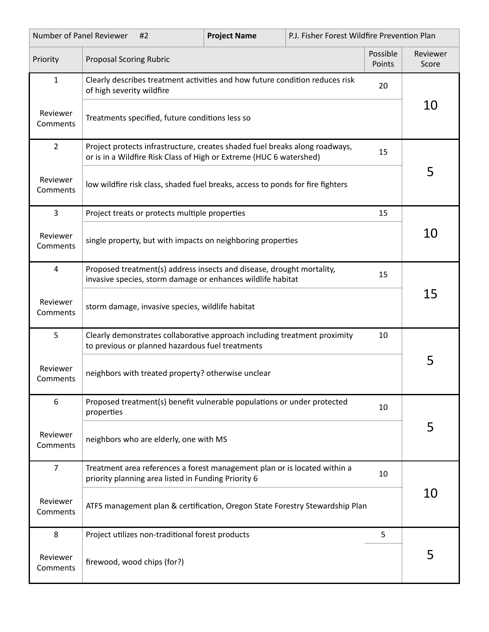| Number of Panel Reviewer<br>#2 |                                                                                                                                                                                                                        | <b>Project Name</b> | P.J. Fisher Forest Wildfire Prevention Plan |                   |    |  |  |
|--------------------------------|------------------------------------------------------------------------------------------------------------------------------------------------------------------------------------------------------------------------|---------------------|---------------------------------------------|-------------------|----|--|--|
| Priority                       | Possible<br><b>Proposal Scoring Rubric</b><br>Points                                                                                                                                                                   |                     |                                             | Reviewer<br>Score |    |  |  |
| $\mathbf{1}$                   | Clearly describes treatment activities and how future condition reduces risk<br>20<br>of high severity wildfire                                                                                                        |                     |                                             |                   |    |  |  |
| Reviewer<br>Comments           | Treatments specified, future conditions less so                                                                                                                                                                        |                     |                                             | 10                |    |  |  |
| $\overline{2}$                 | Project protects infrastructure, creates shaded fuel breaks along roadways,<br>15<br>or is in a Wildfire Risk Class of High or Extreme (HUC 6 watershed)                                                               |                     |                                             |                   |    |  |  |
| Reviewer<br>Comments           | low wildfire risk class, shaded fuel breaks, access to ponds for fire fighters                                                                                                                                         |                     |                                             |                   | 5  |  |  |
| 3                              | Project treats or protects multiple properties                                                                                                                                                                         |                     |                                             | 15                |    |  |  |
| Reviewer<br>Comments           | single property, but with impacts on neighboring properties                                                                                                                                                            |                     |                                             |                   | 10 |  |  |
| $\overline{4}$                 | Proposed treatment(s) address insects and disease, drought mortality,<br>15<br>invasive species, storm damage or enhances wildlife habitat                                                                             |                     |                                             |                   |    |  |  |
| Reviewer<br>Comments           | storm damage, invasive species, wildlife habitat                                                                                                                                                                       |                     |                                             |                   | 15 |  |  |
| 5                              | Clearly demonstrates collaborative approach including treatment proximity<br>10<br>to previous or planned hazardous fuel treatments                                                                                    |                     |                                             |                   |    |  |  |
| Reviewer<br>Comments           | neighbors with treated property? otherwise unclear                                                                                                                                                                     |                     |                                             |                   | 5  |  |  |
| 6                              | Proposed treatment(s) benefit vulnerable populations or under protected<br>properties                                                                                                                                  |                     |                                             | 10                |    |  |  |
| Reviewer<br>Comments           | neighbors who are elderly, one with MS                                                                                                                                                                                 |                     |                                             |                   | 5  |  |  |
| $\overline{7}$                 | Treatment area references a forest management plan or is located within a<br>10<br>priority planning area listed in Funding Priority 6<br>ATFS management plan & certification, Oregon State Forestry Stewardship Plan |                     |                                             |                   |    |  |  |
| Reviewer<br>Comments           |                                                                                                                                                                                                                        |                     |                                             |                   | 10 |  |  |
| 8                              | Project utilizes non-traditional forest products<br>5                                                                                                                                                                  |                     |                                             |                   |    |  |  |
| Reviewer<br>Comments           | firewood, wood chips (for?)                                                                                                                                                                                            |                     |                                             |                   | 5  |  |  |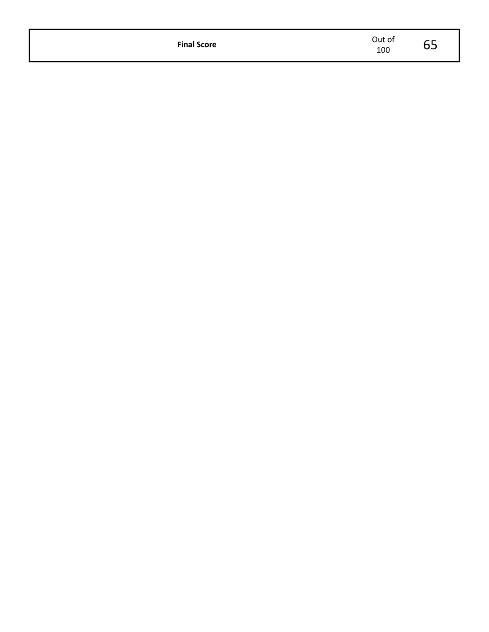| <b>Final Score</b> | Out of<br>100 | ∽<br>◡◡ |
|--------------------|---------------|---------|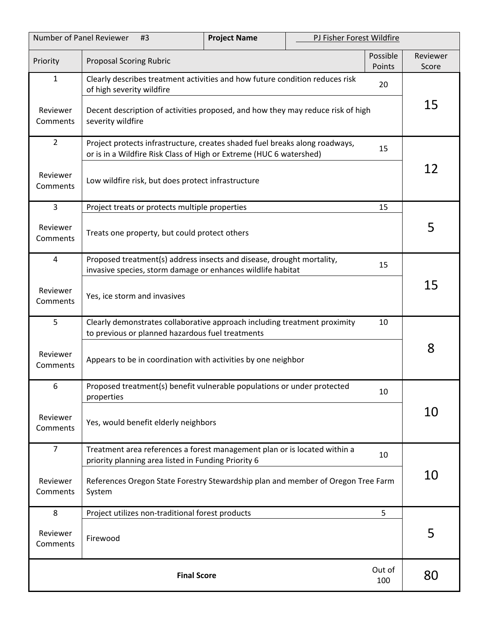| Number of Panel Reviewer<br>#3 |                                                                                                                                                    | <b>Project Name</b> | PJ Fisher Forest Wildfire |                    |                   |
|--------------------------------|----------------------------------------------------------------------------------------------------------------------------------------------------|---------------------|---------------------------|--------------------|-------------------|
| Priority                       | <b>Proposal Scoring Rubric</b>                                                                                                                     |                     |                           | Possible<br>Points | Reviewer<br>Score |
| $\mathbf{1}$                   | Clearly describes treatment activities and how future condition reduces risk<br>20<br>of high severity wildfire                                    |                     |                           |                    |                   |
| Reviewer<br>Comments           | Decent description of activities proposed, and how they may reduce risk of high<br>severity wildfire                                               |                     |                           | 15                 |                   |
| $\overline{2}$                 | Project protects infrastructure, creates shaded fuel breaks along roadways,<br>or is in a Wildfire Risk Class of High or Extreme (HUC 6 watershed) |                     |                           | 15                 |                   |
| Reviewer<br>Comments           | Low wildfire risk, but does protect infrastructure                                                                                                 |                     |                           | 12                 |                   |
| 3                              | Project treats or protects multiple properties                                                                                                     |                     |                           | 15                 |                   |
| Reviewer<br>Comments           | Treats one property, but could protect others                                                                                                      |                     |                           |                    | 5                 |
| 4                              | Proposed treatment(s) address insects and disease, drought mortality,<br>invasive species, storm damage or enhances wildlife habitat               |                     |                           | 15                 |                   |
| Reviewer<br>Comments           | Yes, ice storm and invasives                                                                                                                       |                     |                           |                    | 15                |
| 5                              | Clearly demonstrates collaborative approach including treatment proximity<br>10<br>to previous or planned hazardous fuel treatments                |                     |                           |                    |                   |
| Reviewer<br>Comments           | Appears to be in coordination with activities by one neighbor                                                                                      |                     |                           | 8                  |                   |
| 6                              | Proposed treatment(s) benefit vulnerable populations or under protected<br>properties                                                              |                     |                           | 10                 |                   |
| Reviewer<br>Comments           | Yes, would benefit elderly neighbors                                                                                                               |                     |                           | 10                 |                   |
| $\overline{7}$                 | Treatment area references a forest management plan or is located within a<br>priority planning area listed in Funding Priority 6                   |                     |                           | 10                 |                   |
| Reviewer<br>Comments           | References Oregon State Forestry Stewardship plan and member of Oregon Tree Farm<br>System                                                         |                     |                           | 10                 |                   |
| 8                              | Project utilizes non-traditional forest products                                                                                                   |                     |                           | 5                  |                   |
| Reviewer<br>Comments           | Firewood                                                                                                                                           |                     |                           |                    | 5                 |
|                                | Out of<br><b>Final Score</b><br>100                                                                                                                |                     |                           |                    | 80                |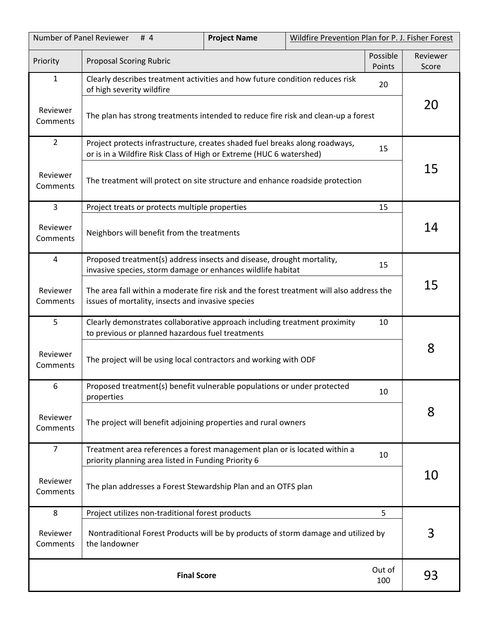| Number of Panel Reviewer<br>Wildfire Prevention Plan for P. J. Fisher Forest<br><b>Project Name</b><br># $4$ |                                                                                                                                                    |  |  |                    |                   |
|--------------------------------------------------------------------------------------------------------------|----------------------------------------------------------------------------------------------------------------------------------------------------|--|--|--------------------|-------------------|
| Priority                                                                                                     | <b>Proposal Scoring Rubric</b>                                                                                                                     |  |  | Possible<br>Points | Reviewer<br>Score |
| 1                                                                                                            | Clearly describes treatment activities and how future condition reduces risk<br>20<br>of high severity wildfire                                    |  |  |                    |                   |
| Reviewer<br>Comments                                                                                         | The plan has strong treatments intended to reduce fire risk and clean-up a forest                                                                  |  |  | 20                 |                   |
| $\overline{2}$                                                                                               | Project protects infrastructure, creates shaded fuel breaks along roadways,<br>or is in a Wildfire Risk Class of High or Extreme (HUC 6 watershed) |  |  | 15                 |                   |
| Reviewer<br>Comments                                                                                         | The treatment will protect on site structure and enhance roadside protection                                                                       |  |  | 15                 |                   |
| $\overline{3}$                                                                                               | Project treats or protects multiple properties                                                                                                     |  |  | 15                 |                   |
| Reviewer<br>Comments                                                                                         | Neighbors will benefit from the treatments                                                                                                         |  |  |                    | 14                |
| 4                                                                                                            | Proposed treatment(s) address insects and disease, drought mortality,<br>invasive species, storm damage or enhances wildlife habitat               |  |  | 15                 |                   |
| Reviewer<br>Comments                                                                                         | The area fall within a moderate fire risk and the forest treatment will also address the<br>issues of mortality, insects and invasive species      |  |  | 15                 |                   |
| 5                                                                                                            | Clearly demonstrates collaborative approach including treatment proximity<br>10<br>to previous or planned hazardous fuel treatments                |  |  |                    |                   |
| Reviewer<br>Comments                                                                                         | The project will be using local contractors and working with ODF                                                                                   |  |  | 8                  |                   |
| 6                                                                                                            | Proposed treatment(s) benefit vulnerable populations or under protected<br>properties                                                              |  |  | 10                 |                   |
| Reviewer<br>Comments                                                                                         | The project will benefit adjoining properties and rural owners                                                                                     |  |  | 8                  |                   |
| $\overline{7}$                                                                                               | Treatment area references a forest management plan or is located within a<br>10<br>priority planning area listed in Funding Priority 6             |  |  |                    |                   |
| Reviewer<br>Comments                                                                                         | The plan addresses a Forest Stewardship Plan and an OTFS plan                                                                                      |  |  | 10                 |                   |
| 8                                                                                                            | Project utilizes non-traditional forest products                                                                                                   |  |  | 5                  |                   |
| Reviewer<br>Comments                                                                                         | Nontraditional Forest Products will be by products of storm damage and utilized by<br>the landowner                                                |  |  | 3                  |                   |
|                                                                                                              | Out of<br><b>Final Score</b><br>100                                                                                                                |  |  |                    | 93                |